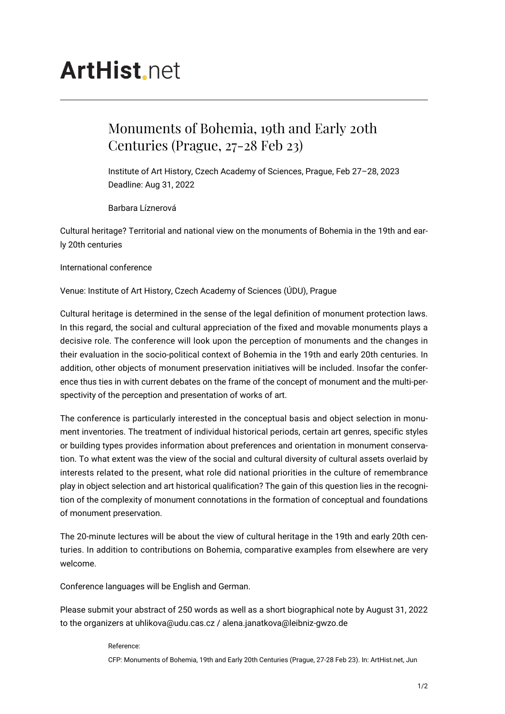## **ArtHist.net**

## Monuments of Bohemia, 19th and Early 20th Centuries (Prague, 27-28 Feb 23)

Institute of Art History, Czech Academy of Sciences, Prague, Feb 27–28, 2023 Deadline: Aug 31, 2022

Barbara Líznerová

Cultural heritage? Territorial and national view on the monuments of Bohemia in the 19th and early 20th centuries

International conference

Venue: Institute of Art History, Czech Academy of Sciences (ÚDU), Prague

Cultural heritage is determined in the sense of the legal definition of monument protection laws. In this regard, the social and cultural appreciation of the fixed and movable monuments plays a decisive role. The conference will look upon the perception of monuments and the changes in their evaluation in the socio-political context of Bohemia in the 19th and early 20th centuries. In addition, other objects of monument preservation initiatives will be included. Insofar the conference thus ties in with current debates on the frame of the concept of monument and the multi-perspectivity of the perception and presentation of works of art.

The conference is particularly interested in the conceptual basis and object selection in monument inventories. The treatment of individual historical periods, certain art genres, specific styles or building types provides information about preferences and orientation in monument conservation. To what extent was the view of the social and cultural diversity of cultural assets overlaid by interests related to the present, what role did national priorities in the culture of remembrance play in object selection and art historical qualification? The gain of this question lies in the recognition of the complexity of monument connotations in the formation of conceptual and foundations of monument preservation.

The 20-minute lectures will be about the view of cultural heritage in the 19th and early 20th centuries. In addition to contributions on Bohemia, comparative examples from elsewhere are very welcome.

Conference languages will be English and German.

Please submit your abstract of 250 words as well as a short biographical note by August 31, 2022 to the organizers at uhlikova@udu.cas.cz / alena.janatkova@leibniz-gwzo.de

## Reference:

CFP: Monuments of Bohemia, 19th and Early 20th Centuries (Prague, 27-28 Feb 23). In: ArtHist.net, Jun